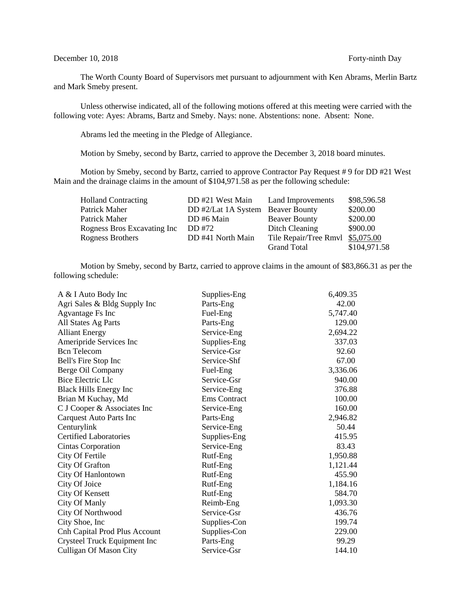### December 10, 2018 Forty-ninth Day

The Worth County Board of Supervisors met pursuant to adjournment with Ken Abrams, Merlin Bartz and Mark Smeby present.

Unless otherwise indicated, all of the following motions offered at this meeting were carried with the following vote: Ayes: Abrams, Bartz and Smeby. Nays: none. Abstentions: none. Absent: None.

Abrams led the meeting in the Pledge of Allegiance.

Motion by Smeby, second by Bartz, carried to approve the December 3, 2018 board minutes.

Motion by Smeby, second by Bartz, carried to approve Contractor Pay Request # 9 for DD #21 West Main and the drainage claims in the amount of \$104,971.58 as per the following schedule:

| <b>Holland Contracting</b>  | DD #21 West Main                  | Land Improvements                | \$98,596.58  |
|-----------------------------|-----------------------------------|----------------------------------|--------------|
| Patrick Maher               | DD #2/Lat 1A System Beaver Bounty |                                  | \$200.00     |
| Patrick Maher               | DD #6 Main                        | <b>Beaver Bounty</b>             | \$200.00     |
| Rogness Bros Excavating Inc | DD #72                            | Ditch Cleaning                   | \$900.00     |
| Rogness Brothers            | DD #41 North Main                 | Tile Repair/Tree Rmvl \$5,075.00 |              |
|                             |                                   | <b>Grand Total</b>               | \$104,971.58 |

Motion by Smeby, second by Bartz, carried to approve claims in the amount of \$83,866.31 as per the following schedule:

| A & I Auto Body Inc                  | Supplies-Eng        | 6,409.35 |
|--------------------------------------|---------------------|----------|
| Agri Sales & Bldg Supply Inc         | Parts-Eng           | 42.00    |
| <b>Agvantage Fs Inc</b>              | Fuel-Eng            | 5,747.40 |
| All States Ag Parts                  | Parts-Eng           | 129.00   |
| <b>Alliant Energy</b>                | Service-Eng         | 2,694.22 |
| Ameripride Services Inc              | Supplies-Eng        | 337.03   |
| <b>Bcn</b> Telecom                   | Service-Gsr         | 92.60    |
| Bell's Fire Stop Inc                 | Service-Shf         | 67.00    |
| Berge Oil Company                    | Fuel-Eng            | 3,336.06 |
| <b>Bice Electric Llc</b>             | Service-Gsr         | 940.00   |
| <b>Black Hills Energy Inc</b>        | Service-Eng         | 376.88   |
| Brian M Kuchay, Md                   | <b>Ems</b> Contract | 100.00   |
| C J Cooper & Associates Inc          | Service-Eng         | 160.00   |
| Carquest Auto Parts Inc              | Parts-Eng           | 2,946.82 |
| Centurylink                          | Service-Eng         | 50.44    |
| <b>Certified Laboratories</b>        | Supplies-Eng        | 415.95   |
| Cintas Corporation                   | Service-Eng         | 83.43    |
| City Of Fertile                      | Rutf-Eng            | 1,950.88 |
| City Of Grafton                      | Rutf-Eng            | 1,121.44 |
| City Of Hanlontown                   | Rutf-Eng            | 455.90   |
| City Of Joice                        | Rutf-Eng            | 1,184.16 |
| <b>City Of Kensett</b>               | Rutf-Eng            | 584.70   |
| City Of Manly                        | Reimb-Eng           | 1,093.30 |
| City Of Northwood                    | Service-Gsr         | 436.76   |
| City Shoe, Inc.                      | Supplies-Con        | 199.74   |
| <b>Cnh Capital Prod Plus Account</b> | Supplies-Con        | 229.00   |
| Crysteel Truck Equipment Inc         | Parts-Eng           | 99.29    |
| <b>Culligan Of Mason City</b>        | Service-Gsr         | 144.10   |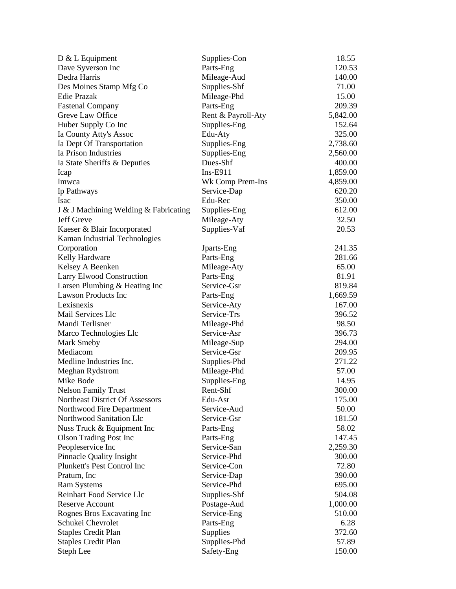| $D & L$ Equipment                     | Supplies-Con       | 18.55    |
|---------------------------------------|--------------------|----------|
| Dave Syverson Inc                     | Parts-Eng          | 120.53   |
| Dedra Harris                          | Mileage-Aud        | 140.00   |
| Des Moines Stamp Mfg Co               | Supplies-Shf       | 71.00    |
| <b>Edie Prazak</b>                    | Mileage-Phd        | 15.00    |
| <b>Fastenal Company</b>               | Parts-Eng          | 209.39   |
| Greve Law Office                      | Rent & Payroll-Aty | 5,842.00 |
| Huber Supply Co Inc                   | Supplies-Eng       | 152.64   |
| Ia County Atty's Assoc                | Edu-Aty            | 325.00   |
| Ia Dept Of Transportation             | Supplies-Eng       | 2,738.60 |
| Ia Prison Industries                  | Supplies-Eng       | 2,560.00 |
| Ia State Sheriffs & Deputies          | Dues-Shf           | 400.00   |
| Icap                                  | $Ins-E911$         | 1,859.00 |
| Imwca                                 | Wk Comp Prem-Ins   | 4,859.00 |
| Ip Pathways                           | Service-Dap        | 620.20   |
| <b>Isac</b>                           | Edu-Rec            | 350.00   |
| J & J Machining Welding & Fabricating | Supplies-Eng       | 612.00   |
| Jeff Greve                            | Mileage-Aty        | 32.50    |
| Kaeser & Blair Incorporated           | Supplies-Vaf       | 20.53    |
| Kaman Industrial Technologies         |                    |          |
| Corporation                           | Jparts-Eng         | 241.35   |
| Kelly Hardware                        | Parts-Eng          | 281.66   |
| Kelsey A Beenken                      | Mileage-Aty        | 65.00    |
| Larry Elwood Construction             | Parts-Eng          | 81.91    |
| Larsen Plumbing & Heating Inc         | Service-Gsr        | 819.84   |
| <b>Lawson Products Inc</b>            | Parts-Eng          | 1,669.59 |
| Lexisnexis                            | Service-Aty        | 167.00   |
| Mail Services Llc                     | Service-Trs        | 396.52   |
| Mandi Terlisner                       | Mileage-Phd        | 98.50    |
| Marco Technologies Llc                | Service-Asr        | 396.73   |
| <b>Mark Smeby</b>                     | Mileage-Sup        | 294.00   |
| Mediacom                              | Service-Gsr        | 209.95   |
| Medline Industries Inc.               | Supplies-Phd       | 271.22   |
| Meghan Rydstrom                       | Mileage-Phd        | 57.00    |
| Mike Bode                             | Supplies-Eng       | 14.95    |
| <b>Nelson Family Trust</b>            | Rent-Shf           | 300.00   |
| Northeast District Of Assessors       | Edu-Asr            | 175.00   |
| Northwood Fire Department             | Service-Aud        | 50.00    |
| Northwood Sanitation Llc              | Service-Gsr        | 181.50   |
| Nuss Truck & Equipment Inc            | Parts-Eng          | 58.02    |
| <b>Olson Trading Post Inc</b>         | Parts-Eng          | 147.45   |
| Peopleservice Inc                     | Service-San        | 2,259.30 |
| <b>Pinnacle Quality Insight</b>       | Service-Phd        | 300.00   |
| Plunkett's Pest Control Inc           | Service-Con        | 72.80    |
| Pratum, Inc.                          | Service-Dap        | 390.00   |
| <b>Ram Systems</b>                    | Service-Phd        | 695.00   |
| Reinhart Food Service Llc             | Supplies-Shf       | 504.08   |
| <b>Reserve Account</b>                | Postage-Aud        | 1,000.00 |
| Rognes Bros Excavating Inc            | Service-Eng        | 510.00   |
| Schukei Chevrolet                     | Parts-Eng          | 6.28     |
| <b>Staples Credit Plan</b>            | Supplies           | 372.60   |
| <b>Staples Credit Plan</b>            | Supplies-Phd       | 57.89    |
| Steph Lee                             | Safety-Eng         | 150.00   |
|                                       |                    |          |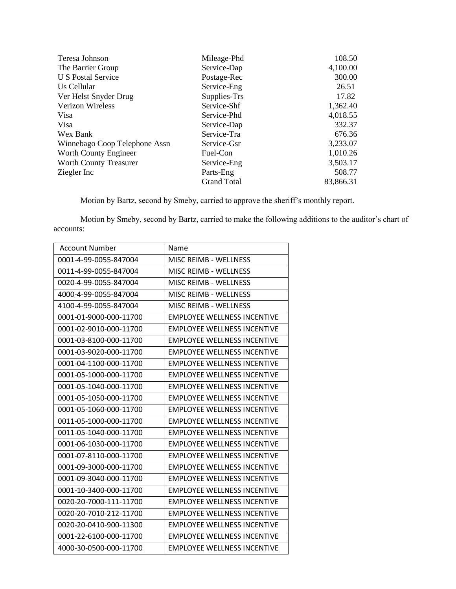| Teresa Johnson                | Mileage-Phd        | 108.50    |
|-------------------------------|--------------------|-----------|
| The Barrier Group             | Service-Dap        | 4,100.00  |
| U S Postal Service            | Postage-Rec        | 300.00    |
| Us Cellular                   | Service-Eng        | 26.51     |
| Ver Helst Snyder Drug         | Supplies-Trs       | 17.82     |
| Verizon Wireless              | Service-Shf        | 1,362.40  |
| Visa                          | Service-Phd        | 4,018.55  |
| Visa                          | Service-Dap        | 332.37    |
| Wex Bank                      | Service-Tra        | 676.36    |
| Winnebago Coop Telephone Assn | Service-Gsr        | 3,233.07  |
| Worth County Engineer         | Fuel-Con           | 1,010.26  |
| <b>Worth County Treasurer</b> | Service-Eng        | 3,503.17  |
| Ziegler Inc                   | Parts-Eng          | 508.77    |
|                               | <b>Grand Total</b> | 83,866.31 |

Motion by Bartz, second by Smeby, carried to approve the sheriff's monthly report.

Motion by Smeby, second by Bartz, carried to make the following additions to the auditor's chart of accounts:

| <b>Account Number</b>  | Name                               |
|------------------------|------------------------------------|
| 0001-4-99-0055-847004  | <b>MISC REIMB - WELLNESS</b>       |
| 0011-4-99-0055-847004  | <b>MISC REIMB - WELLNESS</b>       |
| 0020-4-99-0055-847004  | <b>MISC REIMB - WELLNESS</b>       |
| 4000-4-99-0055-847004  | MISC REIMB - WELLNESS              |
| 4100-4-99-0055-847004  | <b>MISC REIMB - WELLNESS</b>       |
| 0001-01-9000-000-11700 | <b>EMPLOYEE WELLNESS INCENTIVE</b> |
| 0001-02-9010-000-11700 | <b>EMPLOYEE WELLNESS INCENTIVE</b> |
| 0001-03-8100-000-11700 | <b>EMPLOYEE WELLNESS INCENTIVE</b> |
| 0001-03-9020-000-11700 | <b>EMPLOYEE WELLNESS INCENTIVE</b> |
| 0001-04-1100-000-11700 | <b>EMPLOYEE WELLNESS INCENTIVE</b> |
| 0001-05-1000-000-11700 | <b>EMPLOYEE WELLNESS INCENTIVE</b> |
| 0001-05-1040-000-11700 | <b>EMPLOYEE WELLNESS INCENTIVE</b> |
| 0001-05-1050-000-11700 | <b>EMPLOYEE WELLNESS INCENTIVE</b> |
| 0001-05-1060-000-11700 | <b>EMPLOYEE WELLNESS INCENTIVE</b> |
| 0011-05-1000-000-11700 | <b>EMPLOYEE WELLNESS INCENTIVE</b> |
| 0011-05-1040-000-11700 | <b>EMPLOYEE WELLNESS INCENTIVE</b> |
| 0001-06-1030-000-11700 | <b>EMPLOYEE WELLNESS INCENTIVE</b> |
| 0001-07-8110-000-11700 | <b>EMPLOYEE WELLNESS INCENTIVE</b> |
| 0001-09-3000-000-11700 | <b>EMPLOYEE WELLNESS INCENTIVE</b> |
| 0001-09-3040-000-11700 | <b>EMPLOYEE WELLNESS INCENTIVE</b> |
| 0001-10-3400-000-11700 | <b>EMPLOYEE WELLNESS INCENTIVE</b> |
| 0020-20-7000-111-11700 | <b>EMPLOYEE WELLNESS INCENTIVE</b> |
| 0020-20-7010-212-11700 | <b>EMPLOYEE WELLNESS INCENTIVE</b> |
| 0020-20-0410-900-11300 | <b>EMPLOYEE WELLNESS INCENTIVE</b> |
| 0001-22-6100-000-11700 | <b>EMPLOYEE WELLNESS INCENTIVE</b> |
| 4000-30-0500-000-11700 | <b>EMPLOYEE WELLNESS INCENTIVE</b> |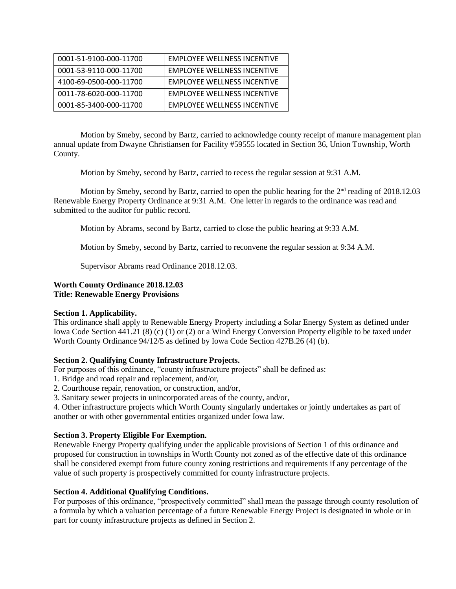| 0001-51-9100-000-11700 | <b>EMPLOYEE WELLNESS INCENTIVE</b> |
|------------------------|------------------------------------|
| 0001-53-9110-000-11700 | <b>EMPLOYEE WELLNESS INCENTIVE</b> |
| 4100-69-0500-000-11700 | <b>EMPLOYEE WELLNESS INCENTIVE</b> |
| 0011-78-6020-000-11700 | <b>EMPLOYEE WELLNESS INCENTIVE</b> |
| 0001-85-3400-000-11700 | <b>EMPLOYEE WELLNESS INCENTIVE</b> |

Motion by Smeby, second by Bartz, carried to acknowledge county receipt of manure management plan annual update from Dwayne Christiansen for Facility #59555 located in Section 36, Union Township, Worth County.

Motion by Smeby, second by Bartz, carried to recess the regular session at 9:31 A.M.

Motion by Smeby, second by Bartz, carried to open the public hearing for the 2<sup>nd</sup> reading of 2018.12.03 Renewable Energy Property Ordinance at 9:31 A.M. One letter in regards to the ordinance was read and submitted to the auditor for public record.

Motion by Abrams, second by Bartz, carried to close the public hearing at 9:33 A.M.

Motion by Smeby, second by Bartz, carried to reconvene the regular session at 9:34 A.M.

Supervisor Abrams read Ordinance 2018.12.03.

## **Worth County Ordinance 2018.12.03 Title: Renewable Energy Provisions**

# **Section 1. Applicability.**

This ordinance shall apply to Renewable Energy Property including a Solar Energy System as defined under Iowa Code Section 441.21 (8) (c) (1) or (2) or a Wind Energy Conversion Property eligible to be taxed under Worth County Ordinance 94/12/5 as defined by Iowa Code Section 427B.26 (4) (b).

### **Section 2. Qualifying County Infrastructure Projects.**

For purposes of this ordinance, "county infrastructure projects" shall be defined as:

- 1. Bridge and road repair and replacement, and/or,
- 2. Courthouse repair, renovation, or construction, and/or,
- 3. Sanitary sewer projects in unincorporated areas of the county, and/or,

4. Other infrastructure projects which Worth County singularly undertakes or jointly undertakes as part of another or with other governmental entities organized under Iowa law.

# **Section 3. Property Eligible For Exemption.**

Renewable Energy Property qualifying under the applicable provisions of Section 1 of this ordinance and proposed for construction in townships in Worth County not zoned as of the effective date of this ordinance shall be considered exempt from future county zoning restrictions and requirements if any percentage of the value of such property is prospectively committed for county infrastructure projects.

### **Section 4. Additional Qualifying Conditions.**

For purposes of this ordinance, "prospectively committed" shall mean the passage through county resolution of a formula by which a valuation percentage of a future Renewable Energy Project is designated in whole or in part for county infrastructure projects as defined in Section 2.